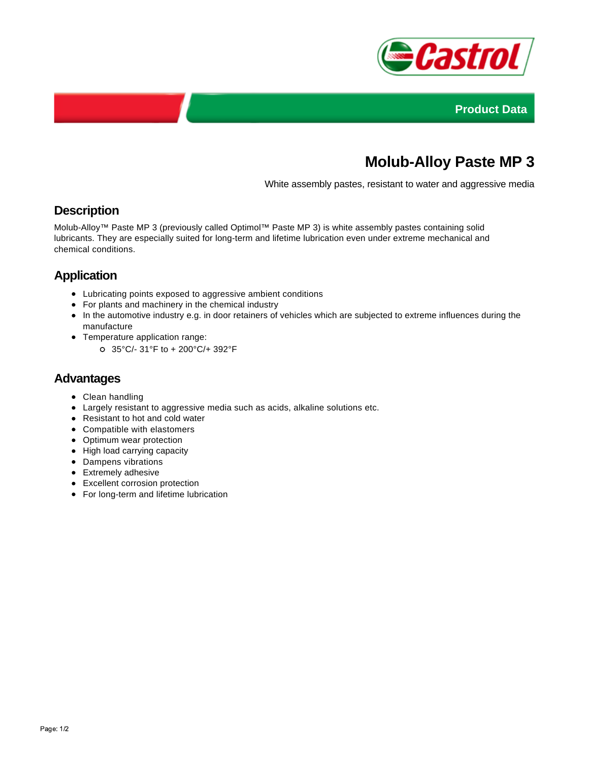



# **Molub-Alloy Paste MP 3**

White assembly pastes, resistant to water and aggressive media

### **Description**

Molub-Alloy™ Paste MP 3 (previously called Optimol™ Paste MP 3) is white assembly pastes containing solid lubricants. They are especially suited for long-term and lifetime lubrication even under extreme mechanical and chemical conditions.

## **Application**

- Lubricating points exposed to aggressive ambient conditions
- For plants and machinery in the chemical industry
- In the automotive industry e.g. in door retainers of vehicles which are subjected to extreme influences during the manufacture
- Temperature application range:
	- 35°C/- 31°F to + 200°C/+ 392°F

#### **Advantages**

- Clean handling
- Largely resistant to aggressive media such as acids, alkaline solutions etc.
- Resistant to hot and cold water
- Compatible with elastomers
- Optimum wear protection
- High load carrying capacity
- Dampens vibrations
- Extremely adhesive
- Excellent corrosion protection
- For long-term and lifetime lubrication